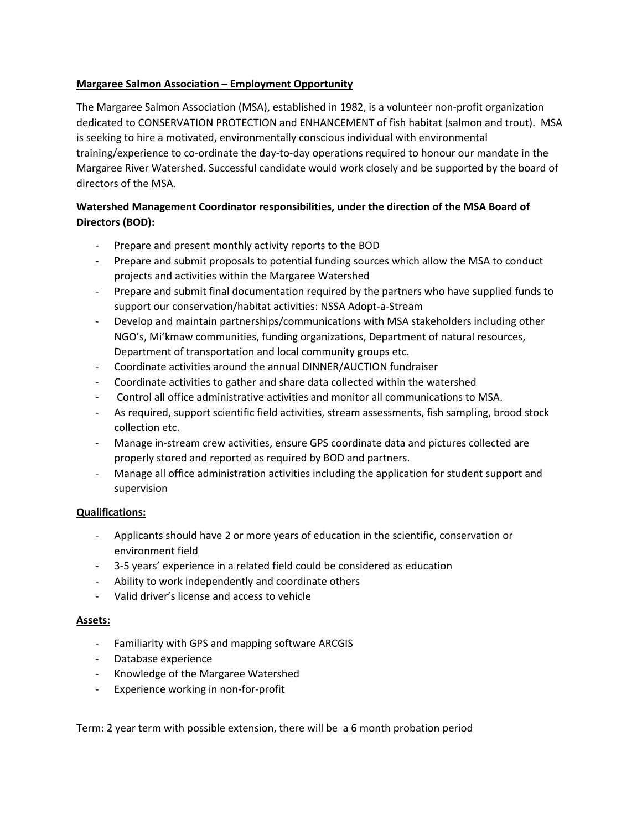## **Margaree Salmon Association – Employment Opportunity**

The Margaree Salmon Association (MSA), established in 1982, is a volunteer non-profit organization dedicated to CONSERVATION PROTECTION and ENHANCEMENT of fish habitat (salmon and trout). MSA is seeking to hire a motivated, environmentally conscious individual with environmental training/experience to co-ordinate the day-to-day operations required to honour our mandate in the Margaree River Watershed. Successful candidate would work closely and be supported by the board of directors of the MSA.

## **Watershed Management Coordinator responsibilities, under the direction of the MSA Board of Directors (BOD):**

- Prepare and present monthly activity reports to the BOD
- Prepare and submit proposals to potential funding sources which allow the MSA to conduct projects and activities within the Margaree Watershed
- Prepare and submit final documentation required by the partners who have supplied funds to support our conservation/habitat activities: NSSA Adopt-a-Stream
- Develop and maintain partnerships/communications with MSA stakeholders including other NGO's, Mi'kmaw communities, funding organizations, Department of natural resources, Department of transportation and local community groups etc.
- Coordinate activities around the annual DINNER/AUCTION fundraiser
- Coordinate activities to gather and share data collected within the watershed
- Control all office administrative activities and monitor all communications to MSA.
- As required, support scientific field activities, stream assessments, fish sampling, brood stock collection etc.
- Manage in-stream crew activities, ensure GPS coordinate data and pictures collected are properly stored and reported as required by BOD and partners.
- Manage all office administration activities including the application for student support and supervision

## **Qualifications:**

- Applicants should have 2 or more years of education in the scientific, conservation or environment field
- 3-5 years' experience in a related field could be considered as education
- Ability to work independently and coordinate others
- Valid driver's license and access to vehicle

## **Assets:**

- Familiarity with GPS and mapping software ARCGIS
- Database experience
- Knowledge of the Margaree Watershed
- Experience working in non-for-profit

Term: 2 year term with possible extension, there will be a 6 month probation period